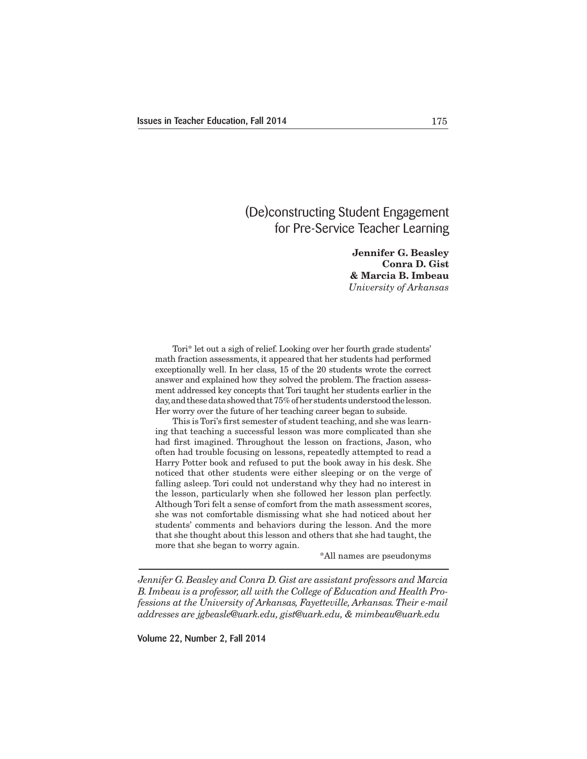# (De)constructing Student Engagement for Pre-Service Teacher Learning

**Jennifer G. Beasley Conra D. Gist & Marcia B. Imbeau** *University of Arkansas*

 Tori\* let out a sigh of relief. Looking over her fourth grade students' math fraction assessments, it appeared that her students had performed exceptionally well. In her class, 15 of the 20 students wrote the correct answer and explained how they solved the problem. The fraction assessment addressed key concepts that Tori taught her students earlier in the day, and these data showed that 75% of her students understood the lesson. Her worry over the future of her teaching career began to subside.

 This is Tori's first semester of student teaching, and she was learning that teaching a successful lesson was more complicated than she had first imagined. Throughout the lesson on fractions, Jason, who often had trouble focusing on lessons, repeatedly attempted to read a Harry Potter book and refused to put the book away in his desk. She noticed that other students were either sleeping or on the verge of falling asleep. Tori could not understand why they had no interest in the lesson, particularly when she followed her lesson plan perfectly. Although Tori felt a sense of comfort from the math assessment scores, she was not comfortable dismissing what she had noticed about her students' comments and behaviors during the lesson. And the more that she thought about this lesson and others that she had taught, the more that she began to worry again.

\*All names are pseudonyms

*Jennifer G. Beasley and Conra D. Gist are assistant professors and Marcia B. Imbeau is a professor, all with the College of Education and Health Professions at the University of Arkansas, Fayetteville, Arkansas. Their e-mail addresses are jgbeasle@uark.edu, gist@uark.edu, & mimbeau@uark.edu*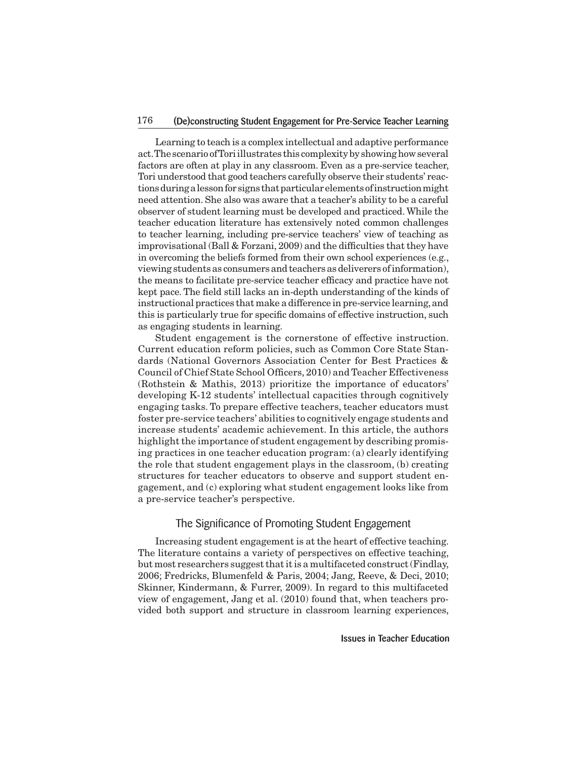## 176 (De)constructing Student Engagement for Pre-Service Teacher Learning

 Learning to teach is a complex intellectual and adaptive performance act.The scenario ofToriillustrates this complexitybyshowinghowseveral factors are often at play in any classroom. Even as a pre-service teacher, Tori understood that good teachers carefully observe their students' reactionsduringalessonforsignsthatparticularelementsofinstructionmight need attention. She also was aware that a teacher's ability to be a careful observer of student learning must be developed and practiced.While the teacher education literature has extensively noted common challenges to teacher learning, including pre-service teachers' view of teaching as improvisational (Ball & Forzani, 2009) and the difficulties that they have in overcoming the beliefs formed from their own school experiences (e.g., viewing students as consumers and teachers as deliverers of information), the means to facilitate pre-service teacher efficacy and practice have not kept pace. The field still lacks an in-depth understanding of the kinds of instructional practices that make a difference in pre-service learning, and this is particularly true for specific domains of effective instruction, such as engaging students in learning.

 Student engagement is the cornerstone of effective instruction. Current education reform policies, such as Common Core State Standards (National Governors Association Center for Best Practices & Council of Chief State School Officers, 2010) and Teacher Effectiveness (Rothstein & Mathis, 2013) prioritize the importance of educators' developing K-12 students' intellectual capacities through cognitively engaging tasks. To prepare effective teachers, teacher educators must foster pre-service teachers' abilities to cognitively engage students and increase students' academic achievement. In this article, the authors highlight the importance of student engagement by describing promising practices in one teacher education program: (a) clearly identifying the role that student engagement plays in the classroom, (b) creating structures for teacher educators to observe and support student engagement, and (c) exploring what student engagement looks like from a pre-service teacher's perspective.

## The Significance of Promoting Student Engagement

 Increasing student engagement is at the heart of effective teaching. The literature contains a variety of perspectives on effective teaching, but most researchers suggest that it is a multifaceted construct (Findlay, 2006; Fredricks, Blumenfeld & Paris, 2004; Jang, Reeve, & Deci, 2010; Skinner, Kindermann, & Furrer, 2009). In regard to this multifaceted view of engagement, Jang et al. (2010) found that, when teachers provided both support and structure in classroom learning experiences,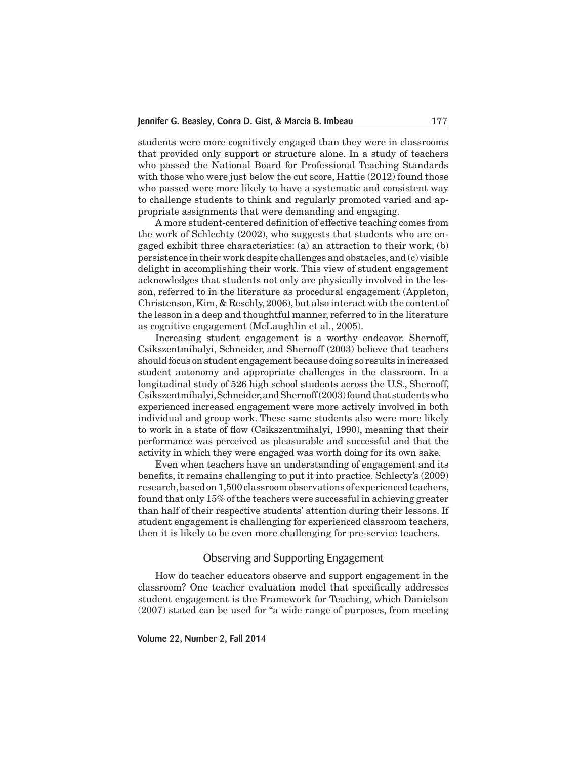students were more cognitively engaged than they were in classrooms that provided only support or structure alone. In a study of teachers who passed the National Board for Professional Teaching Standards with those who were just below the cut score, Hattie (2012) found those who passed were more likely to have a systematic and consistent way to challenge students to think and regularly promoted varied and appropriate assignments that were demanding and engaging.

 A more student-centered definition of effective teaching comes from the work of Schlechty (2002), who suggests that students who are engaged exhibit three characteristics: (a) an attraction to their work, (b) persistence in theirwork despite challenges and obstacles,and (c) visible delight in accomplishing their work. This view of student engagement acknowledges that students not only are physically involved in the lesson, referred to in the literature as procedural engagement (Appleton, Christenson,Kim, & Reschly, 2006), but also interact with the content of the lesson in a deep and thoughtful manner, referred to in the literature as cognitive engagement (McLaughlin et al., 2005).

 Increasing student engagement is a worthy endeavor. Shernoff, Csikszentmihalyi, Schneider, and Shernoff (2003) believe that teachers should focus on student engagement because doing so results in increased student autonomy and appropriate challenges in the classroom. In a longitudinal study of 526 high school students across the U.S., Shernoff, Csikszentmihalyi, Schneider, and Shernoff(2003) found that students who experienced increased engagement were more actively involved in both individual and group work. These same students also were more likely to work in a state of flow (Csikszentmihalyi, 1990), meaning that their performance was perceived as pleasurable and successful and that the activity in which they were engaged was worth doing for its own sake.

 Even when teachers have an understanding of engagement and its benefits, it remains challenging to put it into practice. Schlecty's (2009) research, based on 1,500 classroom observations of experienced teachers, found that only 15% of the teachers were successful in achieving greater than half of their respective students' attention during their lessons. If student engagement is challenging for experienced classroom teachers, then it is likely to be even more challenging for pre-service teachers.

# Observing and Supporting Engagement

 How do teacher educators observe and support engagement in the classroom? One teacher evaluation model that specifically addresses student engagement is the Framework for Teaching, which Danielson (2007) stated can be used for "a wide range of purposes, from meeting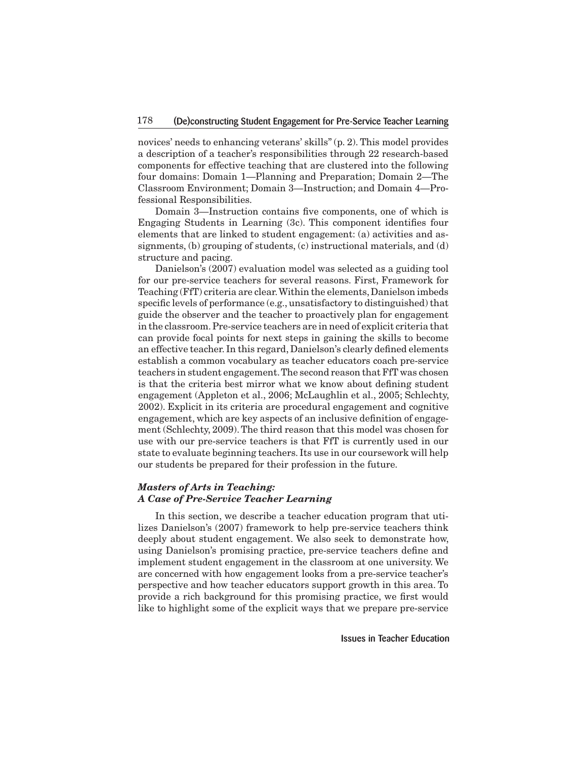novices' needs to enhancing veterans' skills" (p. 2). This model provides a description of a teacher's responsibilities through 22 research-based components for effective teaching that are clustered into the following four domains: Domain 1—Planning and Preparation; Domain 2—The Classroom Environment; Domain 3—Instruction; and Domain 4—Professional Responsibilities.

 Domain 3—Instruction contains five components, one of which is Engaging Students in Learning (3c). This component identifies four elements that are linked to student engagement: (a) activities and assignments, (b) grouping of students, (c) instructional materials, and (d) structure and pacing.

 Danielson's (2007) evaluation model was selected as a guiding tool for our pre-service teachers for several reasons. First, Framework for Teaching (FfT) criteria are clear. Within the elements, Danielson imbeds specific levels of performance (e.g., unsatisfactory to distinguished) that guide the observer and the teacher to proactively plan for engagement in the classroom.Pre-service teachers are in need of explicit criteria that can provide focal points for next steps in gaining the skills to become an effective teacher. In this regard, Danielson's clearly defined elements establish a common vocabulary as teacher educators coach pre-service teachers in student engagement.The second reason that FfT was chosen is that the criteria best mirror what we know about defining student engagement (Appleton et al., 2006; McLaughlin et al., 2005; Schlechty, 2002). Explicit in its criteria are procedural engagement and cognitive engagement, which are key aspects of an inclusive definition of engagement (Schlechty, 2009).The third reason that this model was chosen for use with our pre-service teachers is that FfT is currently used in our state to evaluate beginning teachers. Its use in our coursework will help our students be prepared for their profession in the future.

## *Masters of Arts in Teaching: A Case of Pre-Service Teacher Learning*

 In this section, we describe a teacher education program that utilizes Danielson's (2007) framework to help pre-service teachers think deeply about student engagement. We also seek to demonstrate how, using Danielson's promising practice, pre-service teachers define and implement student engagement in the classroom at one university. We are concerned with how engagement looks from a pre-service teacher's perspective and how teacher educators support growth in this area. To provide a rich background for this promising practice, we first would like to highlight some of the explicit ways that we prepare pre-service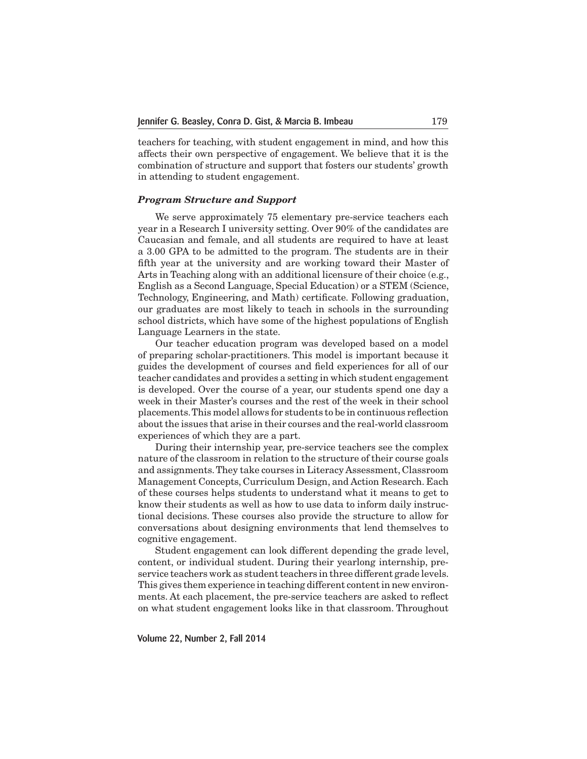teachers for teaching, with student engagement in mind, and how this affects their own perspective of engagement. We believe that it is the combination of structure and support that fosters our students' growth in attending to student engagement.

## *Program Structure and Support*

 We serve approximately 75 elementary pre-service teachers each year in a Research I university setting. Over 90% of the candidates are Caucasian and female, and all students are required to have at least a 3.00 GPA to be admitted to the program. The students are in their fifth year at the university and are working toward their Master of Arts in Teaching along with an additional licensure of their choice (e.g., English as a Second Language, Special Education) or a STEM (Science, Technology, Engineering, and Math) certificate. Following graduation, our graduates are most likely to teach in schools in the surrounding school districts, which have some of the highest populations of English Language Learners in the state.

 Our teacher education program was developed based on a model of preparing scholar-practitioners. This model is important because it guides the development of courses and field experiences for all of our teacher candidates and provides a setting in which student engagement is developed. Over the course of a year, our students spend one day a week in their Master's courses and the rest of the week in their school placements.This model allows for students to be in continuous reflection about the issues that arise in their courses and the real-world classroom experiences of which they are a part.

 During their internship year, pre-service teachers see the complex nature of the classroom in relation to the structure of their course goals and assignments.They take courses in Literacy Assessment, Classroom Management Concepts, Curriculum Design, and Action Research. Each of these courses helps students to understand what it means to get to know their students as well as how to use data to inform daily instructional decisions. These courses also provide the structure to allow for conversations about designing environments that lend themselves to cognitive engagement.

 Student engagement can look different depending the grade level, content, or individual student. During their yearlong internship, preservice teachers work as student teachers in three different grade levels. This gives them experience in teaching different contentin new environments. At each placement, the pre-service teachers are asked to reflect on what student engagement looks like in that classroom. Throughout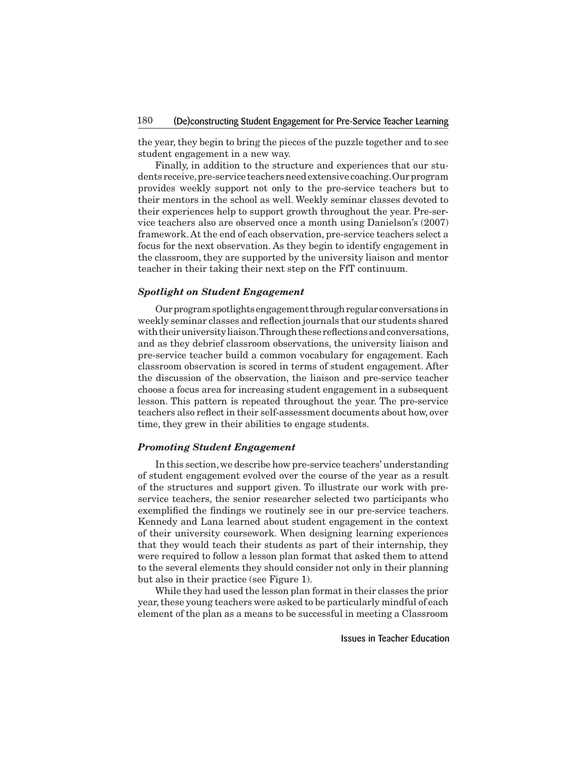the year, they begin to bring the pieces of the puzzle together and to see student engagement in a new way.

 Finally, in addition to the structure and experiences that our students receive, pre-service teachers need extensive coaching. Our program provides weekly support not only to the pre-service teachers but to their mentors in the school as well. Weekly seminar classes devoted to their experiences help to support growth throughout the year. Pre-service teachers also are observed once a month using Danielson's (2007) framework. At the end of each observation, pre-service teachers select a focus for the next observation. As they begin to identify engagement in the classroom, they are supported by the university liaison and mentor teacher in their taking their next step on the FfT continuum.

#### *Spotlight on Student Engagement*

Our program spotlights engagement through regular conversations in weekly seminar classes and reflection journals that our students shared with their university liaison. Through these reflections and conversations, and as they debrief classroom observations, the university liaison and pre-service teacher build a common vocabulary for engagement. Each classroom observation is scored in terms of student engagement. After the discussion of the observation, the liaison and pre-service teacher choose a focus area for increasing student engagement in a subsequent lesson. This pattern is repeated throughout the year. The pre-service teachers also reflect in their self-assessment documents about how, over time, they grew in their abilities to engage students.

#### *Promoting Student Engagement*

In this section, we describe how pre-service teachers' understanding of student engagement evolved over the course of the year as a result of the structures and support given. To illustrate our work with preservice teachers, the senior researcher selected two participants who exemplified the findings we routinely see in our pre-service teachers. Kennedy and Lana learned about student engagement in the context of their university coursework. When designing learning experiences that they would teach their students as part of their internship, they were required to follow a lesson plan format that asked them to attend to the several elements they should consider not only in their planning but also in their practice (see Figure 1).

 While they had used the lesson plan formatin their classes the prior year,these young teachers were asked to be particularly mindful of each element of the plan as a means to be successful in meeting a Classroom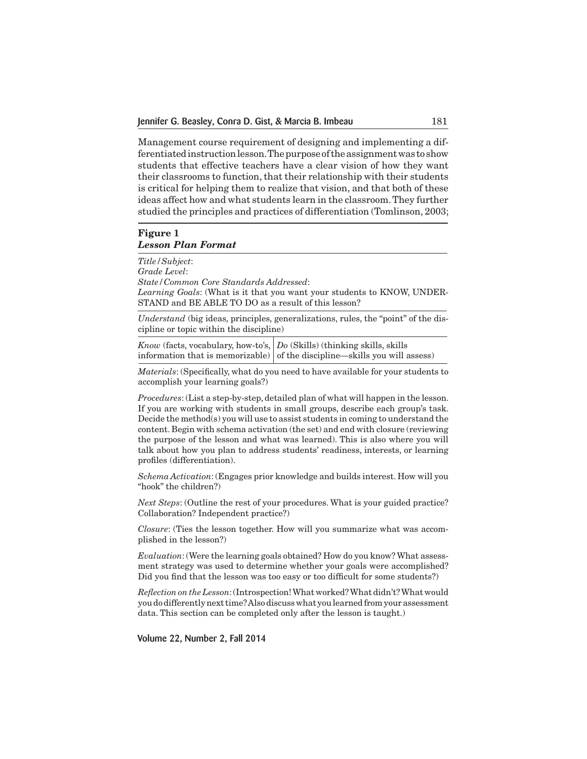Management course requirement of designing and implementing a differentiated instruction lesson. The purpose of the assignment was to show students that effective teachers have a clear vision of how they want their classrooms to function, that their relationship with their students is critical for helping them to realize that vision, and that both of these ideas affect how and what students learn in the classroom.They further studied the principles and practices of differentiation (Tomlinson, 2003;

# **Figure 1** *Lesson Plan Format*

*Title/Subject*: *Grade Level*: *State/Common Core Standards Addressed*: *Learning Goals*: (What is it that you want your students to KNOW, UNDER-STAND and BE ABLE TO DO as a result of this lesson?

*Understand* (big ideas, principles, generalizations, rules, the "point" of the discipline or topic within the discipline)

*Know* (facts, vocabulary, how-to's, *Do* (Skills) (thinking skills, skills information that is memorizable)  $\vert$  of the discipline—skills you will assess)

*Materials*: (Specifically, what do you need to have available for your students to accomplish your learning goals?)

*Procedures*: (List a step-by-step, detailed plan of what will happen in the lesson. If you are working with students in small groups, describe each group's task. Decide the method(s) you will use to assist students in coming to understand the content. Begin with schema activation (the set) and end with closure (reviewing the purpose of the lesson and what was learned). This is also where you will talk about how you plan to address students' readiness, interests, or learning profiles (differentiation).

*Schema Activation*: (Engages prior knowledge and builds interest. How will you "hook" the children?)

*Next Steps*: (Outline the rest of your procedures. What is your guided practice? Collaboration? Independent practice?)

*Closure*: (Ties the lesson together. How will you summarize what was accomplished in the lesson?)

*Evaluation*:(Were the learning goals obtained? How do you know? What assessment strategy was used to determine whether your goals were accomplished? Did you find that the lesson was too easy or too difficult for some students?)

*Reflection on the Lesson*:(Introspection!What worked?What didn't?What would you do differently next time? Also discuss what you learned from your assessment data. This section can be completed only after the lesson is taught.)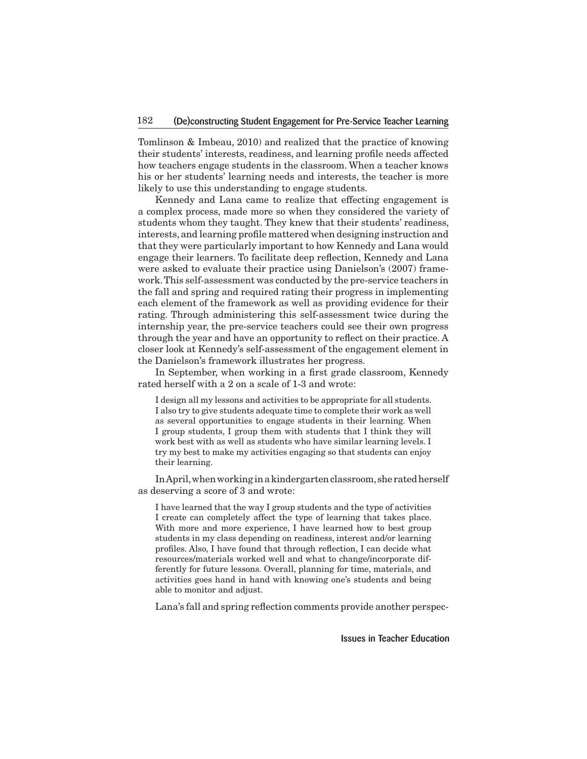Tomlinson & Imbeau, 2010) and realized that the practice of knowing their students' interests, readiness, and learning profile needs affected how teachers engage students in the classroom. When a teacher knows his or her students' learning needs and interests, the teacher is more likely to use this understanding to engage students.

 Kennedy and Lana came to realize that effecting engagement is a complex process, made more so when they considered the variety of students whom they taught. They knew that their students' readiness, interests, and learning profile mattered when designing instruction and that they were particularly important to how Kennedy and Lana would engage their learners. To facilitate deep reflection, Kennedy and Lana were asked to evaluate their practice using Danielson's (2007) framework.This self-assessment was conducted by the pre-service teachers in the fall and spring and required rating their progress in implementing each element of the framework as well as providing evidence for their rating. Through administering this self-assessment twice during the internship year, the pre-service teachers could see their own progress through the year and have an opportunity to reflect on their practice. A closer look at Kennedy's self-assessment of the engagement element in the Danielson's framework illustrates her progress.

 In September, when working in a first grade classroom, Kennedy rated herself with a 2 on a scale of 1-3 and wrote:

I design all my lessons and activities to be appropriate for all students. I also try to give students adequate time to complete their work as well as several opportunities to engage students in their learning. When I group students, I group them with students that I think they will work best with as well as students who have similar learning levels. I try my best to make my activities engaging so that students can enjoy their learning.

In April, when working in a kindergarten classroom, she rated herself as deserving a score of 3 and wrote:

I have learned that the way I group students and the type of activities I create can completely affect the type of learning that takes place. With more and more experience, I have learned how to best group students in my class depending on readiness, interest and/or learning profiles. Also, I have found that through reflection, I can decide what resources/materials worked well and what to change/incorporate differently for future lessons. Overall, planning for time, materials, and activities goes hand in hand with knowing one's students and being able to monitor and adjust.

 Lana's fall and spring reflection comments provide another perspec-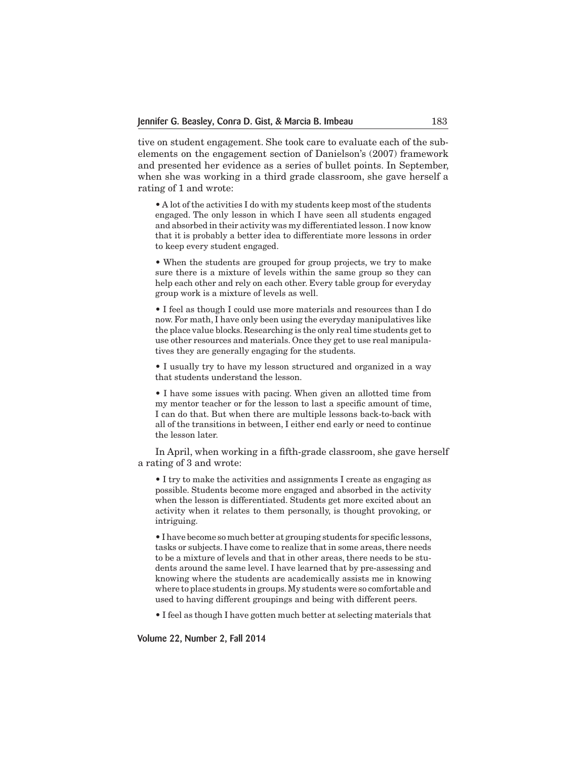tive on student engagement. She took care to evaluate each of the subelements on the engagement section of Danielson's (2007) framework and presented her evidence as a series of bullet points. In September, when she was working in a third grade classroom, she gave herself a rating of 1 and wrote:

• A lot of the activities I do with my students keep most of the students engaged. The only lesson in which I have seen all students engaged and absorbed in their activity was my differentiated lesson. I now know that it is probably a better idea to differentiate more lessons in order to keep every student engaged.

• When the students are grouped for group projects, we try to make sure there is a mixture of levels within the same group so they can help each other and rely on each other. Every table group for everyday group work is a mixture of levels as well.

• I feel as though I could use more materials and resources than I do now. For math, I have only been using the everyday manipulatives like the place value blocks. Researching is the only real time students get to use other resources and materials. Once they get to use real manipulatives they are generally engaging for the students.

• I usually try to have my lesson structured and organized in a way that students understand the lesson.

• I have some issues with pacing. When given an allotted time from my mentor teacher or for the lesson to last a specific amount of time, I can do that. But when there are multiple lessons back-to-back with all of the transitions in between, I either end early or need to continue the lesson later.

 In April, when working in a fifth-grade classroom, she gave herself a rating of 3 and wrote:

• I try to make the activities and assignments I create as engaging as possible. Students become more engaged and absorbed in the activity when the lesson is differentiated. Students get more excited about an activity when it relates to them personally, is thought provoking, or intriguing.

• I have become so much better at grouping students for specific lessons, tasks or subjects. I have come to realize that in some areas, there needs to be a mixture of levels and that in other areas, there needs to be students around the same level. I have learned that by pre-assessing and knowing where the students are academically assists me in knowing where to place students in groups.My students were so comfortable and used to having different groupings and being with different peers.

• I feel as though I have gotten much better at selecting materials that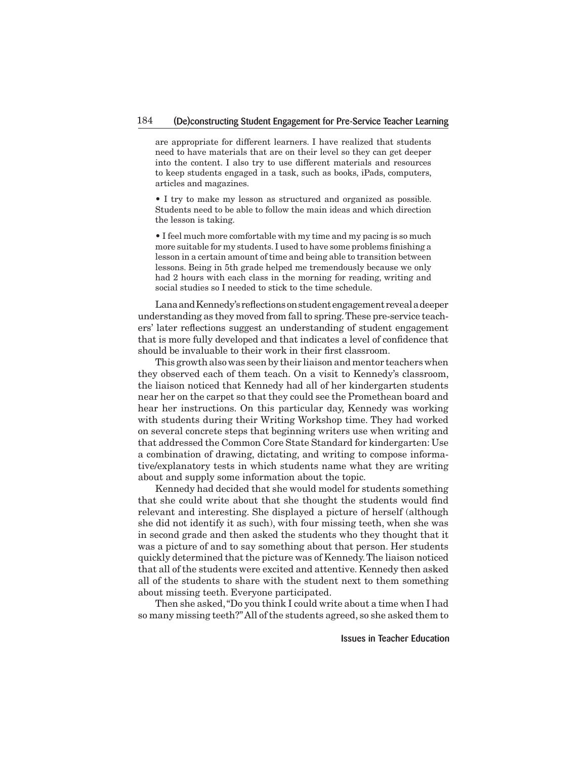are appropriate for different learners. I have realized that students need to have materials that are on their level so they can get deeper into the content. I also try to use different materials and resources to keep students engaged in a task, such as books, iPads, computers, articles and magazines.

• I try to make my lesson as structured and organized as possible. Students need to be able to follow the main ideas and which direction the lesson is taking.

• I feel much more comfortable with my time and my pacing is so much more suitable for my students. I used to have some problems finishing a lesson in a certain amount of time and being able to transition between lessons. Being in 5th grade helped me tremendously because we only had 2 hours with each class in the morning for reading, writing and social studies so I needed to stick to the time schedule.

Lana and Kennedy's reflections on student engagement reveal a deeper understanding as they moved from fall to spring. These pre-service teachers' later reflections suggest an understanding of student engagement that is more fully developed and that indicates a level of confidence that should be invaluable to their work in their first classroom.

 This growth alsowas seen by their liaison and mentor teacherswhen they observed each of them teach. On a visit to Kennedy's classroom, the liaison noticed that Kennedy had all of her kindergarten students near her on the carpet so that they could see the Promethean board and hear her instructions. On this particular day, Kennedy was working with students during their Writing Workshop time. They had worked on several concrete steps that beginning writers use when writing and that addressed the Common Core State Standard for kindergarten: Use a combination of drawing, dictating, and writing to compose informative/explanatory tests in which students name what they are writing about and supply some information about the topic.

 Kennedy had decided that she would model for students something that she could write about that she thought the students would find relevant and interesting. She displayed a picture of herself (although she did not identify it as such), with four missing teeth, when she was in second grade and then asked the students who they thought that it was a picture of and to say something about that person. Her students quickly determined that the picture was of Kennedy.The liaison noticed that all of the students were excited and attentive. Kennedy then asked all of the students to share with the student next to them something about missing teeth. Everyone participated.

 Then she asked,"Do you think I could write about a time when I had so many missing teeth?"All of the students agreed, so she asked them to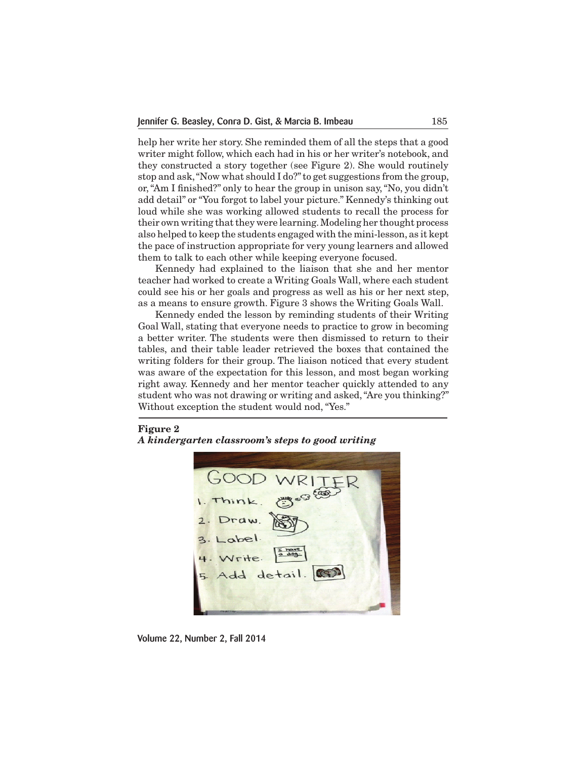help her write her story. She reminded them of all the steps that a good writer might follow, which each had in his or her writer's notebook, and they constructed a story together (see Figure 2). She would routinely stop and ask,"Now what should I do?"to get suggestions from the group, or,"Am I finished?" only to hear the group in unison say,"No, you didn't add detail" or "You forgot to label your picture." Kennedy's thinking out loud while she was working allowed students to recall the process for their own writing thatthey were learning.Modeling her thought process also helped to keep the students engaged with the mini-lesson, as it kept the pace of instruction appropriate for very young learners and allowed them to talk to each other while keeping everyone focused.

 Kennedy had explained to the liaison that she and her mentor teacher had worked to create a Writing Goals Wall, where each student could see his or her goals and progress as well as his or her next step, as a means to ensure growth. Figure 3 shows the Writing Goals Wall.

 Kennedy ended the lesson by reminding students of their Writing Goal Wall, stating that everyone needs to practice to grow in becoming a better writer. The students were then dismissed to return to their tables, and their table leader retrieved the boxes that contained the writing folders for their group. The liaison noticed that every student was aware of the expectation for this lesson, and most began working right away. Kennedy and her mentor teacher quickly attended to any student who was not drawing or writing and asked,"Are you thinking?" Without exception the student would nod, "Yes."

**Figure 2** *A kindergarten classroom's steps to good writing*



Volume 22, Number 2, Fall 2014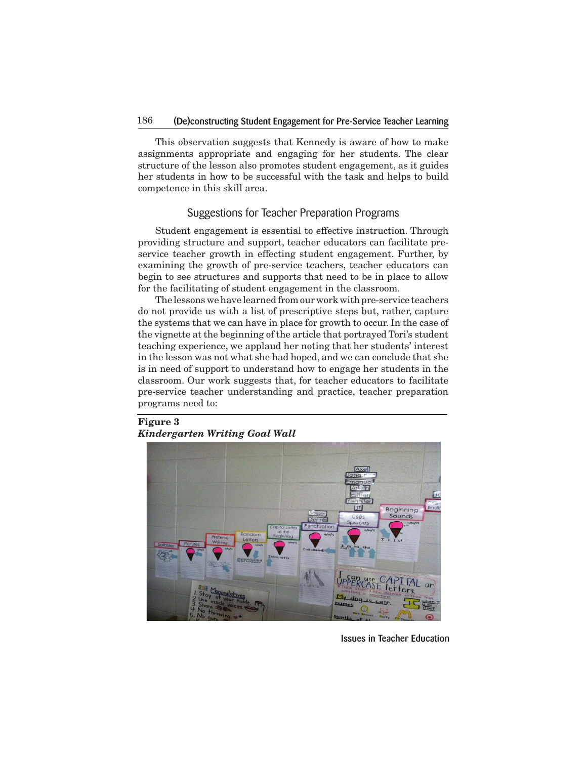# 186 (De)constructing Student Engagement for Pre-Service Teacher Learning

 This observation suggests that Kennedy is aware of how to make assignments appropriate and engaging for her students. The clear structure of the lesson also promotes student engagement, as it guides her students in how to be successful with the task and helps to build competence in this skill area.

# Suggestions for Teacher Preparation Programs

 Student engagement is essential to effective instruction. Through providing structure and support, teacher educators can facilitate preservice teacher growth in effecting student engagement. Further, by examining the growth of pre-service teachers, teacher educators can begin to see structures and supports that need to be in place to allow for the facilitating of student engagement in the classroom.

The lessons we have learned from our work with pre-service teachers do not provide us with a list of prescriptive steps but, rather, capture the systems that we can have in place for growth to occur. In the case of the vignette at the beginning of the article that portrayed Tori's student teaching experience, we applaud her noting that her students' interest in the lesson was not what she had hoped, and we can conclude that she is in need of support to understand how to engage her students in the classroom. Our work suggests that, for teacher educators to facilitate pre-service teacher understanding and practice, teacher preparation programs need to:

# **Figure 3** *Kindergarten Writing Goal Wall*



Issues in Teacher Education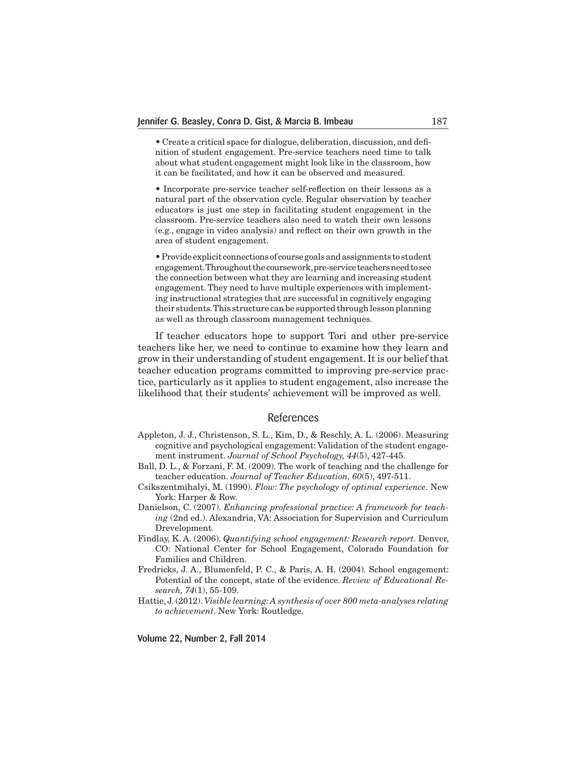• Create a critical space for dialogue, deliberation, discussion, and definition of student engagement. Pre-service teachers need time to talk about what student engagement might look like in the classroom, how it can be facilitated, and how it can be observed and measured.

• Incorporate pre-service teacher self-reflection on their lessons as a natural part of the observation cycle. Regular observation by teacher educators is just one step in facilitating student engagement in the classroom. Pre-service teachers also need to watch their own lessons (e.g., engage in video analysis) and reflect on their own growth in the area of student engagement.

•Provide explicit connections of coursegoalsandassignments to student engagement. Throughout the coursework, pre-service teachers need to see the connection between what they are learning and increasing student engagement.They need to have multiple experiences with implementing instructional strategies that are successful in cognitively engaging their students. This structure can be supported through lesson planning as well as through classroom management techniques.

 If teacher educators hope to support Tori and other pre-service teachers like her, we need to continue to examine how they learn and grow in their understanding of student engagement. It is our belief that teacher education programs committed to improving pre-service practice, particularly as it applies to student engagement, also increase the likelihood that their students' achievement will be improved as well.

## References

- Appleton, J. J., Christenson, S. L., Kim, D., & Reschly, A. L. (2006). Measuring cognitive and psychological engagement: Validation of the student engagement instrument. *Journal of School Psychology, 44*(5), 427-445.
- Ball, D. L., & Forzani, F. M. (2009). The work of teaching and the challenge for teacher education. *Journal of Teacher Education, 60*(5), 497-511.
- Csikszentmihalyi, M. (1990). *Flow: The psychology of optimal experience*. New York: Harper & Row.
- Danielson, C. (2007). *Enhancing professional practice: A framework for teaching* (2nd ed.). Alexandria, VA: Association for Supervision and Curriculum Drevelopment.
- Findlay, K. A. (2006). *Quantifying school engagement: Research report*. Denver, CO: National Center for School Engagement, Colorado Foundation for Families and Children.
- Fredricks, J. A., Blumenfeld, P. C., & Paris, A. H. (2004). School engagement: Potential of the concept, state of the evidence. *Review of Educational Research, 74*(1), 55-109.
- Hattie, J. (2012). *Visible learning: A synthesis of over 800 meta-analyses relating to achievement*. New York: Routledge.